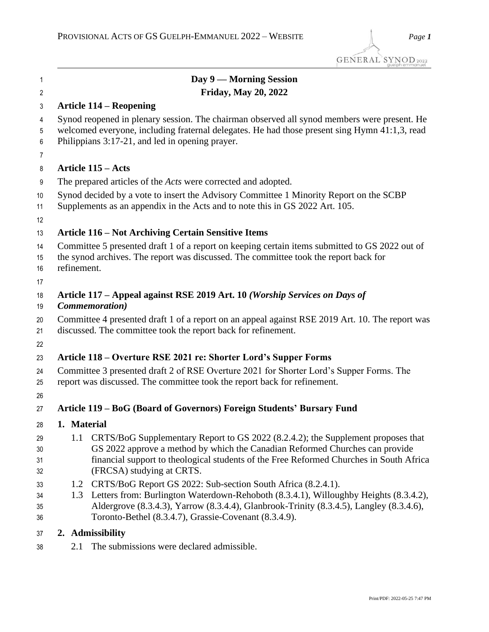| 1                    |                                                                                                                                                                  | Day 9 — Morning Session                                                                                                                                                                                                                                                                                          |  |
|----------------------|------------------------------------------------------------------------------------------------------------------------------------------------------------------|------------------------------------------------------------------------------------------------------------------------------------------------------------------------------------------------------------------------------------------------------------------------------------------------------------------|--|
| $\overline{2}$       |                                                                                                                                                                  | <b>Friday, May 20, 2022</b>                                                                                                                                                                                                                                                                                      |  |
| 3                    |                                                                                                                                                                  | <b>Article 114 – Reopening</b>                                                                                                                                                                                                                                                                                   |  |
| 4<br>5               |                                                                                                                                                                  | Synod reopened in plenary session. The chairman observed all synod members were present. He<br>welcomed everyone, including fraternal delegates. He had those present sing Hymn 41:1,3, read                                                                                                                     |  |
| 6                    |                                                                                                                                                                  | Philippians 3:17-21, and led in opening prayer.                                                                                                                                                                                                                                                                  |  |
| 7                    |                                                                                                                                                                  |                                                                                                                                                                                                                                                                                                                  |  |
| 8                    |                                                                                                                                                                  | <b>Article 115 – Acts</b>                                                                                                                                                                                                                                                                                        |  |
| 9                    |                                                                                                                                                                  | The prepared articles of the <i>Acts</i> were corrected and adopted.                                                                                                                                                                                                                                             |  |
| 10<br>11             |                                                                                                                                                                  | Synod decided by a vote to insert the Advisory Committee 1 Minority Report on the SCBP<br>Supplements as an appendix in the Acts and to note this in GS 2022 Art. 105.                                                                                                                                           |  |
| 12                   |                                                                                                                                                                  |                                                                                                                                                                                                                                                                                                                  |  |
| 13                   |                                                                                                                                                                  | <b>Article 116 – Not Archiving Certain Sensitive Items</b>                                                                                                                                                                                                                                                       |  |
| 14<br>15<br>16       | refinement.                                                                                                                                                      | Committee 5 presented draft 1 of a report on keeping certain items submitted to GS 2022 out of<br>the synod archives. The report was discussed. The committee took the report back for                                                                                                                           |  |
| 17                   |                                                                                                                                                                  |                                                                                                                                                                                                                                                                                                                  |  |
| 18<br>19             | Article 117 – Appeal against RSE 2019 Art. 10 (Worship Services on Days of<br><i>Commemoration</i> )                                                             |                                                                                                                                                                                                                                                                                                                  |  |
| 20<br>21             | Committee 4 presented draft 1 of a report on an appeal against RSE 2019 Art. 10. The report was<br>discussed. The committee took the report back for refinement. |                                                                                                                                                                                                                                                                                                                  |  |
| 22                   |                                                                                                                                                                  |                                                                                                                                                                                                                                                                                                                  |  |
| 23                   |                                                                                                                                                                  | Article 118 – Overture RSE 2021 re: Shorter Lord's Supper Forms                                                                                                                                                                                                                                                  |  |
| 24<br>25<br>26       |                                                                                                                                                                  | Committee 3 presented draft 2 of RSE Overture 2021 for Shorter Lord's Supper Forms. The<br>report was discussed. The committee took the report back for refinement.                                                                                                                                              |  |
| 27                   |                                                                                                                                                                  | Article 119 – BoG (Board of Governors) Foreign Students' Bursary Fund                                                                                                                                                                                                                                            |  |
| 28                   | 1. Material                                                                                                                                                      |                                                                                                                                                                                                                                                                                                                  |  |
| 29<br>30<br>31       | 1.1                                                                                                                                                              | CRTS/BoG Supplementary Report to GS 2022 (8.2.4.2); the Supplement proposes that<br>GS 2022 approve a method by which the Canadian Reformed Churches can provide<br>financial support to theological students of the Free Reformed Churches in South Africa                                                      |  |
| 32                   |                                                                                                                                                                  | (FRCSA) studying at CRTS.                                                                                                                                                                                                                                                                                        |  |
| 33<br>34<br>35<br>36 |                                                                                                                                                                  | 1.2 CRTS/BoG Report GS 2022: Sub-section South Africa (8.2.4.1).<br>1.3 Letters from: Burlington Waterdown-Rehoboth (8.3.4.1), Willoughby Heights (8.3.4.2),<br>Aldergrove (8.3.4.3), Yarrow (8.3.4.4), Glanbrook-Trinity (8.3.4.5), Langley (8.3.4.6),<br>Toronto-Bethel (8.3.4.7), Grassie-Covenant (8.3.4.9). |  |
| 37                   |                                                                                                                                                                  | 2. Admissibility                                                                                                                                                                                                                                                                                                 |  |
| 38                   | 2.1                                                                                                                                                              | The submissions were declared admissible.                                                                                                                                                                                                                                                                        |  |
|                      |                                                                                                                                                                  |                                                                                                                                                                                                                                                                                                                  |  |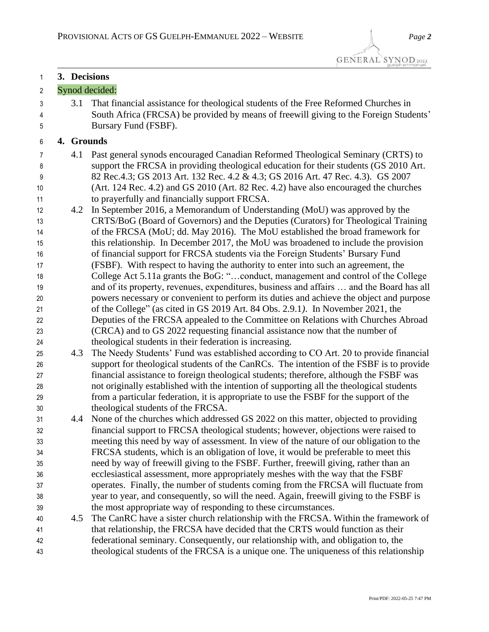**3. Decisions**

## Synod decided: 3.1 That financial assistance for theological students of the Free Reformed Churches in South Africa (FRCSA) be provided by means of freewill giving to the Foreign Students' Bursary Fund (FSBF). **4. Grounds** 4.1 Past general synods encouraged Canadian Reformed Theological Seminary (CRTS) to support the FRCSA in providing theological education for their students (GS 2010 Art. 82 Rec.4.3; GS 2013 Art. 132 Rec. 4.2 & 4.3; GS 2016 Art. 47 Rec. 4.3). GS 2007 (Art. 124 Rec. 4.2) and GS 2010 (Art. 82 Rec. 4.2) have also encouraged the churches to prayerfully and financially support FRCSA. 4.2 In September 2016, a Memorandum of Understanding (MoU) was approved by the CRTS/BoG (Board of Governors) and the Deputies (Curators) for Theological Training of the FRCSA (MoU; dd. May 2016). The MoU established the broad framework for this relationship. In December 2017, the MoU was broadened to include the provision of financial support for FRCSA students via the Foreign Students' Bursary Fund (FSBF). With respect to having the authority to enter into such an agreement, the College Act 5.11a grants the BoG: "…conduct, management and control of the College and of its property, revenues, expenditures, business and affairs … and the Board has all powers necessary or convenient to perform its duties and achieve the object and purpose of the College" (as cited in GS 2019 Art. 84 Obs. 2.9.1*)*. In November 2021, the Deputies of the FRCSA appealed to the Committee on Relations with Churches Abroad (CRCA) and to GS 2022 requesting financial assistance now that the number of theological students in their federation is increasing. 4.3 The Needy Students' Fund was established according to CO Art. 20 to provide financial support for theological students of the CanRCs. The intention of the FSBF is to provide financial assistance to foreign theological students; therefore, although the FSBF was not originally established with the intention of supporting all the theological students from a particular federation, it is appropriate to use the FSBF for the support of the theological students of the FRCSA. 4.4 None of the churches which addressed GS 2022 on this matter, objected to providing financial support to FRCSA theological students; however, objections were raised to meeting this need by way of assessment. In view of the nature of our obligation to the FRCSA students, which is an obligation of love, it would be preferable to meet this need by way of freewill giving to the FSBF. Further, freewill giving, rather than an ecclesiastical assessment, more appropriately meshes with the way that the FSBF operates. Finally, the number of students coming from the FRCSA will fluctuate from year to year, and consequently, so will the need. Again, freewill giving to the FSBF is the most appropriate way of responding to these circumstances. 4.5 The CanRC have a sister church relationship with the FRCSA. Within the framework of that relationship, the FRCSA have decided that the CRTS would function as their federational seminary. Consequently, our relationship with, and obligation to, the theological students of the FRCSA is a unique one. The uniqueness of this relationship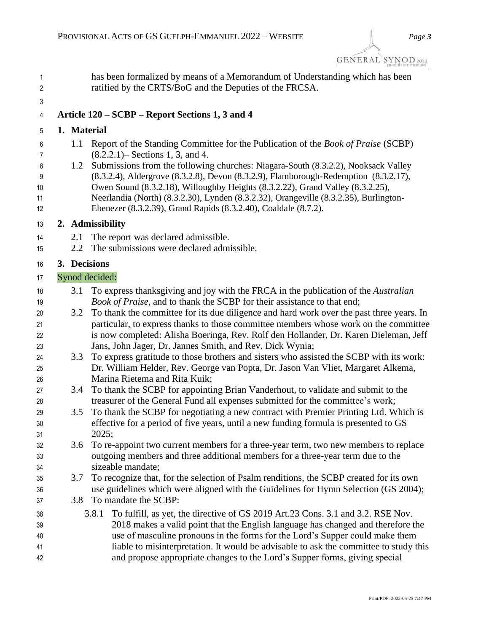| 1<br>2                     |             | has been formalized by means of a Memorandum of Understanding which has been<br>ratified by the CRTS/BoG and the Deputies of the FRCSA.                                                                                                                                                                                                                                                                                             |
|----------------------------|-------------|-------------------------------------------------------------------------------------------------------------------------------------------------------------------------------------------------------------------------------------------------------------------------------------------------------------------------------------------------------------------------------------------------------------------------------------|
| 3                          |             |                                                                                                                                                                                                                                                                                                                                                                                                                                     |
| 4                          |             | Article 120 – SCBP – Report Sections 1, 3 and 4                                                                                                                                                                                                                                                                                                                                                                                     |
| 5                          | 1. Material |                                                                                                                                                                                                                                                                                                                                                                                                                                     |
| 6<br>7                     | 1.1         | Report of the Standing Committee for the Publication of the <i>Book of Praise</i> (SCBP)<br>$(8.2.2.1)$ – Sections 1, 3, and 4.                                                                                                                                                                                                                                                                                                     |
| 8<br>9<br>10<br>11<br>12   | 1.2         | Submissions from the following churches: Niagara-South (8.3.2.2), Nooksack Valley<br>(8.3.2.4), Aldergrove (8.3.2.8), Devon (8.3.2.9), Flamborough-Redemption (8.3.2.17),<br>Owen Sound (8.3.2.18), Willoughby Heights (8.3.2.22), Grand Valley (8.3.2.25),<br>Neerlandia (North) (8.3.2.30), Lynden (8.3.2.32), Orangeville (8.3.2.35), Burlington-<br>Ebenezer (8.3.2.39), Grand Rapids (8.3.2.40), Coaldale (8.7.2).             |
| 13                         |             | 2. Admissibility                                                                                                                                                                                                                                                                                                                                                                                                                    |
| 14<br>15                   | 2.1<br>2.2  | The report was declared admissible.<br>The submissions were declared admissible.                                                                                                                                                                                                                                                                                                                                                    |
| 16                         |             | 3. Decisions                                                                                                                                                                                                                                                                                                                                                                                                                        |
| 17                         |             | Synod decided:                                                                                                                                                                                                                                                                                                                                                                                                                      |
| 18<br>19                   | 3.1         | To express thanksgiving and joy with the FRCA in the publication of the Australian<br>Book of Praise, and to thank the SCBP for their assistance to that end;                                                                                                                                                                                                                                                                       |
| 20<br>21<br>22             | 3.2         | To thank the committee for its due diligence and hard work over the past three years. In<br>particular, to express thanks to those committee members whose work on the committee<br>is now completed: Alisha Boeringa, Rev. Rolf den Hollander, Dr. Karen Dieleman, Jeff                                                                                                                                                            |
| 23<br>24<br>25             | 3.3         | Jans, John Jager, Dr. Jannes Smith, and Rev. Dick Wynia;<br>To express gratitude to those brothers and sisters who assisted the SCBP with its work:<br>Dr. William Helder, Rev. George van Popta, Dr. Jason Van Vliet, Margaret Alkema,                                                                                                                                                                                             |
| 26<br>27                   | 3.4         | Marina Rietema and Rita Kuik;<br>To thank the SCBP for appointing Brian Vanderhout, to validate and submit to the<br>treasurer of the General Fund all expenses submitted for the committee's work;                                                                                                                                                                                                                                 |
| 28<br>29<br>30<br>31       | 3.5         | To thank the SCBP for negotiating a new contract with Premier Printing Ltd. Which is<br>effective for a period of five years, until a new funding formula is presented to GS<br>2025;                                                                                                                                                                                                                                               |
| 32<br>33<br>34             | 3.6         | To re-appoint two current members for a three-year term, two new members to replace<br>outgoing members and three additional members for a three-year term due to the<br>sizeable mandate;                                                                                                                                                                                                                                          |
| 35<br>36<br>37             | 3.7<br>3.8  | To recognize that, for the selection of Psalm renditions, the SCBP created for its own<br>use guidelines which were aligned with the Guidelines for Hymn Selection (GS 2004);<br>To mandate the SCBP:                                                                                                                                                                                                                               |
| 38<br>39<br>40<br>41<br>42 |             | To fulfill, as yet, the directive of GS 2019 Art.23 Cons. 3.1 and 3.2. RSE Nov.<br>3.8.1<br>2018 makes a valid point that the English language has changed and therefore the<br>use of masculine pronouns in the forms for the Lord's Supper could make them<br>liable to misinterpretation. It would be advisable to ask the committee to study this<br>and propose appropriate changes to the Lord's Supper forms, giving special |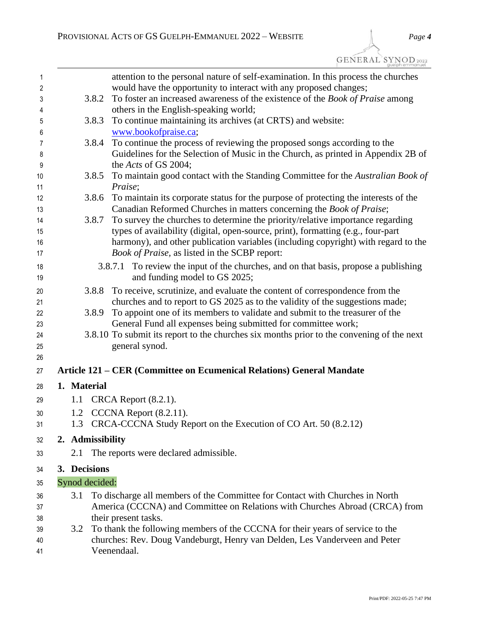GENERAL SYNOD2022

| 1        |                  | attention to the personal nature of self-examination. In this process the churches                                                                          |
|----------|------------------|-------------------------------------------------------------------------------------------------------------------------------------------------------------|
| 2        |                  | would have the opportunity to interact with any proposed changes;                                                                                           |
| 3        | 3.8.2            | To foster an increased awareness of the existence of the <i>Book of Praise</i> among                                                                        |
| 4<br>5   | 3.8.3            | others in the English-speaking world;<br>To continue maintaining its archives (at CRTS) and website:                                                        |
| 6        |                  | www.bookofpraise.ca;                                                                                                                                        |
| 7        | 3.8.4            | To continue the process of reviewing the proposed songs according to the                                                                                    |
| 8        |                  | Guidelines for the Selection of Music in the Church, as printed in Appendix 2B of                                                                           |
| 9        |                  | the Acts of GS 2004;                                                                                                                                        |
| 10       | 3.8.5            | To maintain good contact with the Standing Committee for the Australian Book of                                                                             |
| 11       |                  | Praise;                                                                                                                                                     |
| 12<br>13 | 3.8.6            | To maintain its corporate status for the purpose of protecting the interests of the<br>Canadian Reformed Churches in matters concerning the Book of Praise; |
| 14       | 3.8.7            | To survey the churches to determine the priority/relative importance regarding                                                                              |
| 15       |                  | types of availability (digital, open-source, print), formatting (e.g., four-part                                                                            |
| 16       |                  | harmony), and other publication variables (including copyright) with regard to the                                                                          |
| 17       |                  | Book of Praise, as listed in the SCBP report:                                                                                                               |
| 18       |                  | 3.8.7.1 To review the input of the churches, and on that basis, propose a publishing                                                                        |
| 19       |                  | and funding model to GS 2025;                                                                                                                               |
| 20       | 3.8.8            | To receive, scrutinize, and evaluate the content of correspondence from the                                                                                 |
| 21       |                  | churches and to report to GS 2025 as to the validity of the suggestions made;                                                                               |
| 22       | 3.8.9            | To appoint one of its members to validate and submit to the treasurer of the                                                                                |
| 23       |                  | General Fund all expenses being submitted for committee work;                                                                                               |
| 24<br>25 |                  | 3.8.10 To submit its report to the churches six months prior to the convening of the next<br>general synod.                                                 |
| 26       |                  |                                                                                                                                                             |
| 27       |                  | Article 121 – CER (Committee on Ecumenical Relations) General Mandate                                                                                       |
| 28       | 1. Material      |                                                                                                                                                             |
| 29       | 1.1              | CRCA Report $(8.2.1)$ .                                                                                                                                     |
| 30       |                  | 1.2 CCCNA Report (8.2.11).                                                                                                                                  |
| 31       |                  | 1.3 CRCA-CCCNA Study Report on the Execution of CO Art. 50 (8.2.12)                                                                                         |
| 32       | 2. Admissibility |                                                                                                                                                             |
| 33       | 2.1              | The reports were declared admissible.                                                                                                                       |
| 34       | 3. Decisions     |                                                                                                                                                             |
| 35       | Synod decided:   |                                                                                                                                                             |
| 36       | 3.1              | To discharge all members of the Committee for Contact with Churches in North                                                                                |
| 37       |                  | America (CCCNA) and Committee on Relations with Churches Abroad (CRCA) from                                                                                 |
| 38       |                  | their present tasks.                                                                                                                                        |
| 39       | 3.2              | To thank the following members of the CCCNA for their years of service to the                                                                               |
| 40       |                  | churches: Rev. Doug Vandeburgt, Henry van Delden, Les Vanderveen and Peter                                                                                  |
| 41       |                  | Veenendaal.                                                                                                                                                 |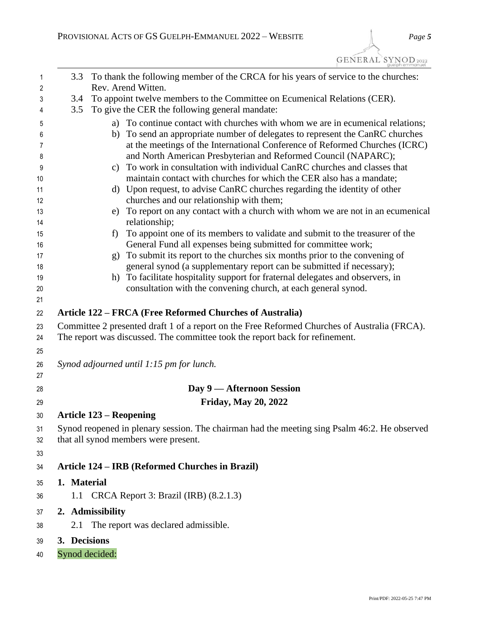| 1        | 3.3<br>To thank the following member of the CRCA for his years of service to the churches:                                                                                   |
|----------|------------------------------------------------------------------------------------------------------------------------------------------------------------------------------|
| 2        | Rev. Arend Witten.                                                                                                                                                           |
| 3<br>4   | To appoint twelve members to the Committee on Ecumenical Relations (CER).<br>3.4<br>To give the CER the following general mandate:<br>3.5                                    |
|          |                                                                                                                                                                              |
| 5        | a) To continue contact with churches with whom we are in ecumenical relations;                                                                                               |
| 6        | To send an appropriate number of delegates to represent the CanRC churches<br>b)<br>at the meetings of the International Conference of Reformed Churches (ICRC)              |
| 7<br>8   | and North American Presbyterian and Reformed Council (NAPARC);                                                                                                               |
| 9        | c) To work in consultation with individual CanRC churches and classes that                                                                                                   |
| 10       | maintain contact with churches for which the CER also has a mandate;                                                                                                         |
| 11       | d) Upon request, to advise CanRC churches regarding the identity of other                                                                                                    |
| 12       | churches and our relationship with them;                                                                                                                                     |
| 13       | To report on any contact with a church with whom we are not in an ecumenical<br>e)                                                                                           |
| 14       | relationship;                                                                                                                                                                |
| 15       | To appoint one of its members to validate and submit to the treasurer of the<br>f)                                                                                           |
| 16       | General Fund all expenses being submitted for committee work;                                                                                                                |
| 17       | To submit its report to the churches six months prior to the convening of<br>g)                                                                                              |
| 18       | general synod (a supplementary report can be submitted if necessary);                                                                                                        |
| 19       | h) To facilitate hospitality support for fraternal delegates and observers, in<br>consultation with the convening church, at each general synod.                             |
| 20<br>21 |                                                                                                                                                                              |
|          | Article 122 – FRCA (Free Reformed Churches of Australia)                                                                                                                     |
| 22       |                                                                                                                                                                              |
| 23       | Committee 2 presented draft 1 of a report on the Free Reformed Churches of Australia (FRCA).<br>The report was discussed. The committee took the report back for refinement. |
| 24       |                                                                                                                                                                              |
| 25       |                                                                                                                                                                              |
| 26       | Synod adjourned until 1:15 pm for lunch.                                                                                                                                     |
| 27<br>28 | Day 9 — Afternoon Session                                                                                                                                                    |
| 29       | <b>Friday, May 20, 2022</b>                                                                                                                                                  |
| 30       | <b>Article 123 – Reopening</b>                                                                                                                                               |
| 31       | Synod reopened in plenary session. The chairman had the meeting sing Psalm 46:2. He observed                                                                                 |
| 32       | that all synod members were present.                                                                                                                                         |
| 33       |                                                                                                                                                                              |
| 34       | Article 124 – IRB (Reformed Churches in Brazil)                                                                                                                              |
| 35       | 1. Material                                                                                                                                                                  |
| 36       | 1.1 CRCA Report 3: Brazil (IRB) (8.2.1.3)                                                                                                                                    |
| 37       | 2. Admissibility                                                                                                                                                             |
| 38       | The report was declared admissible.<br>2.1                                                                                                                                   |
| 39       | 3. Decisions                                                                                                                                                                 |
|          |                                                                                                                                                                              |
| 40       | Synod decided:                                                                                                                                                               |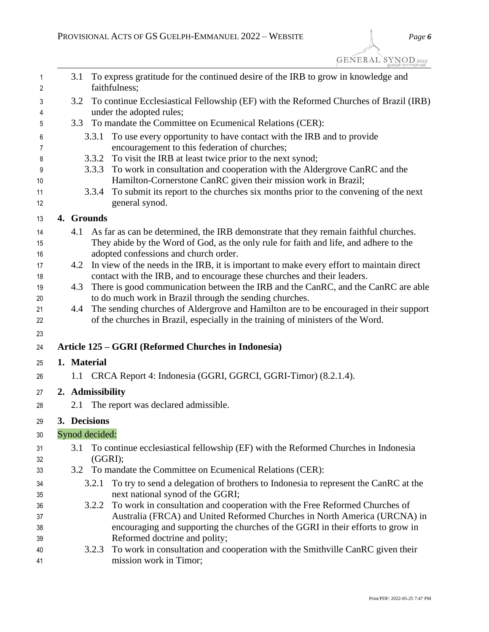| 1<br>2   | To express gratitude for the continued desire of the IRB to grow in knowledge and<br>3.1<br>faithfulness;                                                            |
|----------|----------------------------------------------------------------------------------------------------------------------------------------------------------------------|
| 3        | To continue Ecclesiastical Fellowship (EF) with the Reformed Churches of Brazil (IRB)<br>3.2                                                                         |
| 4        | under the adopted rules;                                                                                                                                             |
| 5        | To mandate the Committee on Ecumenical Relations (CER):<br>3.3                                                                                                       |
| 6        | To use every opportunity to have contact with the IRB and to provide<br>3.3.1                                                                                        |
| 7        | encouragement to this federation of churches;                                                                                                                        |
| 8        | 3.3.2 To visit the IRB at least twice prior to the next synod;                                                                                                       |
| 9        | To work in consultation and cooperation with the Aldergrove CanRC and the<br>3.3.3                                                                                   |
| 10       | Hamilton-Cornerstone CanRC given their mission work in Brazil;                                                                                                       |
| 11<br>12 | To submit its report to the churches six months prior to the convening of the next<br>3.3.4<br>general synod.                                                        |
| 13       | 4. Grounds                                                                                                                                                           |
| 14       | 4.1<br>As far as can be determined, the IRB demonstrate that they remain faithful churches.                                                                          |
| 15       | They abide by the Word of God, as the only rule for faith and life, and adhere to the                                                                                |
| 16       | adopted confessions and church order.                                                                                                                                |
| 17       | In view of the needs in the IRB, it is important to make every effort to maintain direct<br>4.2                                                                      |
| 18<br>19 | contact with the IRB, and to encourage these churches and their leaders.<br>There is good communication between the IRB and the CanRC, and the CanRC are able<br>4.3 |
| 20       | to do much work in Brazil through the sending churches.                                                                                                              |
| 21       | The sending churches of Aldergrove and Hamilton are to be encouraged in their support<br>4.4                                                                         |
| 22       | of the churches in Brazil, especially in the training of ministers of the Word.                                                                                      |
| 23       |                                                                                                                                                                      |
| 24       | Article 125 – GGRI (Reformed Churches in Indonesia)                                                                                                                  |
| 25       | 1. Material                                                                                                                                                          |
| 26       | 1.1 CRCA Report 4: Indonesia (GGRI, GGRCI, GGRI-Timor) (8.2.1.4).                                                                                                    |
| 27       | 2. Admissibility                                                                                                                                                     |
| 28       | The report was declared admissible.<br>2.1                                                                                                                           |
| 29       | 3. Decisions                                                                                                                                                         |
| 30       | Synod decided:                                                                                                                                                       |
| 31       | To continue ecclesiastical fellowship (EF) with the Reformed Churches in Indonesia<br>3.1                                                                            |
| 32<br>33 | $(GGRI)$ ;<br>To mandate the Committee on Ecumenical Relations (CER):<br>3.2                                                                                         |
|          | To try to send a delegation of brothers to Indonesia to represent the CanRC at the<br>3.2.1                                                                          |
| 34<br>35 | next national synod of the GGRI;                                                                                                                                     |
| 36       | To work in consultation and cooperation with the Free Reformed Churches of<br>3.2.2                                                                                  |
| 37       | Australia (FRCA) and United Reformed Churches in North America (URCNA) in                                                                                            |
| 38       | encouraging and supporting the churches of the GGRI in their efforts to grow in                                                                                      |
| 39       | Reformed doctrine and polity;                                                                                                                                        |
| 40       | To work in consultation and cooperation with the Smithville CanRC given their<br>3.2.3                                                                               |
| 41       | mission work in Timor;                                                                                                                                               |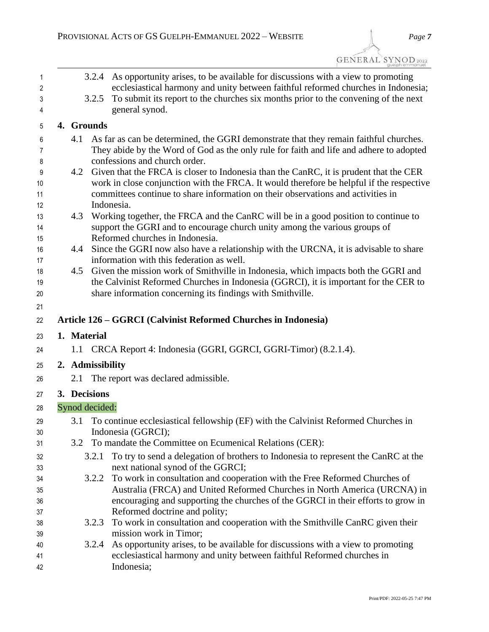| <b>GENERAL SYNOD</b> 2022 |
|---------------------------|
|                           |
|                           |

| 3.2.5<br>4. Grounds<br>4.1 | 3.2.4 As opportunity arises, to be available for discussions with a view to promoting<br>ecclesiastical harmony and unity between faithful reformed churches in Indonesia;<br>To submit its report to the churches six months prior to the convening of the next<br>general synod.  |
|----------------------------|-------------------------------------------------------------------------------------------------------------------------------------------------------------------------------------------------------------------------------------------------------------------------------------|
|                            |                                                                                                                                                                                                                                                                                     |
|                            |                                                                                                                                                                                                                                                                                     |
|                            | As far as can be determined, the GGRI demonstrate that they remain faithful churches.<br>They abide by the Word of God as the only rule for faith and life and adhere to adopted<br>confessions and church order.                                                                   |
| 4.2                        | Given that the FRCA is closer to Indonesia than the CanRC, it is prudent that the CER<br>work in close conjunction with the FRCA. It would therefore be helpful if the respective<br>committees continue to share information on their observations and activities in<br>Indonesia. |
| 4.3                        | Working together, the FRCA and the CanRC will be in a good position to continue to<br>support the GGRI and to encourage church unity among the various groups of<br>Reformed churches in Indonesia.                                                                                 |
| 4.4                        | Since the GGRI now also have a relationship with the URCNA, it is advisable to share<br>information with this federation as well.                                                                                                                                                   |
| 4.5                        | Given the mission work of Smithville in Indonesia, which impacts both the GGRI and<br>the Calvinist Reformed Churches in Indonesia (GGRCI), it is important for the CER to<br>share information concerning its findings with Smithville.                                            |
|                            |                                                                                                                                                                                                                                                                                     |
|                            | Article 126 – GGRCI (Calvinist Reformed Churches in Indonesia)                                                                                                                                                                                                                      |
| 1. Material                |                                                                                                                                                                                                                                                                                     |
|                            | 1.1 CRCA Report 4: Indonesia (GGRI, GGRCI, GGRI-Timor) (8.2.1.4).                                                                                                                                                                                                                   |
|                            |                                                                                                                                                                                                                                                                                     |
| 2. Admissibility           |                                                                                                                                                                                                                                                                                     |
| 2.1                        | The report was declared admissible.                                                                                                                                                                                                                                                 |
| 3. Decisions               |                                                                                                                                                                                                                                                                                     |
| Synod decided:             |                                                                                                                                                                                                                                                                                     |
|                            | 3.1 To continue ecclesiastical fellowship (EF) with the Calvinist Reformed Churches in<br>Indonesia (GGRCI);                                                                                                                                                                        |
| 3.2                        | To mandate the Committee on Ecumenical Relations (CER):                                                                                                                                                                                                                             |
| 3.2.1                      | To try to send a delegation of brothers to Indonesia to represent the CanRC at the<br>next national synod of the GGRCI;                                                                                                                                                             |
| 3.2.2                      | To work in consultation and cooperation with the Free Reformed Churches of<br>Australia (FRCA) and United Reformed Churches in North America (URCNA) in                                                                                                                             |
|                            | encouraging and supporting the churches of the GGRCI in their efforts to grow in<br>Reformed doctrine and polity;                                                                                                                                                                   |
| 3.2.3                      | To work in consultation and cooperation with the Smithville CanRC given their<br>mission work in Timor;<br>As opportunity arises, to be available for discussions with a view to promoting<br>3.2.4                                                                                 |
|                            |                                                                                                                                                                                                                                                                                     |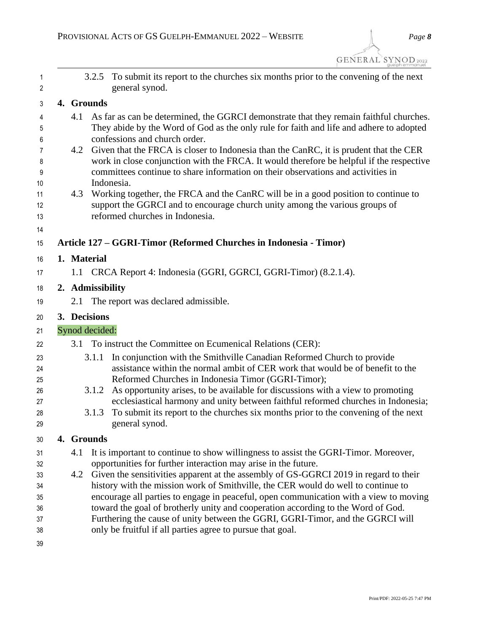| 1<br>2               |             |                  | 3.2.5 To submit its report to the churches six months prior to the convening of the next<br>general synod.                                                                                                                                                                                                 |
|----------------------|-------------|------------------|------------------------------------------------------------------------------------------------------------------------------------------------------------------------------------------------------------------------------------------------------------------------------------------------------------|
| 3                    |             | 4. Grounds       |                                                                                                                                                                                                                                                                                                            |
| 4<br>5               | 4.1         |                  | As far as can be determined, the GGRCI demonstrate that they remain faithful churches.<br>They abide by the Word of God as the only rule for faith and life and adhere to adopted                                                                                                                          |
| 6<br>7<br>8<br>9     |             |                  | confessions and church order.<br>4.2 Given that the FRCA is closer to Indonesia than the CanRC, it is prudent that the CER<br>work in close conjunction with the FRCA. It would therefore be helpful if the respective<br>committees continue to share information on their observations and activities in |
| 10<br>11<br>12<br>13 | 4.3         |                  | Indonesia.<br>Working together, the FRCA and the CanRC will be in a good position to continue to<br>support the GGRCI and to encourage church unity among the various groups of<br>reformed churches in Indonesia.                                                                                         |
| 14<br>15             |             |                  | Article 127 – GGRI-Timor (Reformed Churches in Indonesia - Timor)                                                                                                                                                                                                                                          |
| 16                   | 1. Material |                  |                                                                                                                                                                                                                                                                                                            |
| 17                   |             |                  | 1.1 CRCA Report 4: Indonesia (GGRI, GGRCI, GGRI-Timor) (8.2.1.4).                                                                                                                                                                                                                                          |
|                      |             |                  |                                                                                                                                                                                                                                                                                                            |
| 18                   |             | 2. Admissibility |                                                                                                                                                                                                                                                                                                            |
| 19                   | 2.1         |                  | The report was declared admissible.                                                                                                                                                                                                                                                                        |
| 20                   |             | 3. Decisions     |                                                                                                                                                                                                                                                                                                            |
| 21                   |             |                  |                                                                                                                                                                                                                                                                                                            |
|                      |             | Synod decided:   |                                                                                                                                                                                                                                                                                                            |
| 22                   |             |                  | 3.1 To instruct the Committee on Ecumenical Relations (CER):                                                                                                                                                                                                                                               |
| 23<br>24<br>25       |             | 3.1.1            | In conjunction with the Smithville Canadian Reformed Church to provide<br>assistance within the normal ambit of CER work that would be of benefit to the<br>Reformed Churches in Indonesia Timor (GGRI-Timor);                                                                                             |
| 26<br>27<br>28       |             | 3.1.2<br>3.1.3   | As opportunity arises, to be available for discussions with a view to promoting<br>ecclesiastical harmony and unity between faithful reformed churches in Indonesia;<br>To submit its report to the churches six months prior to the convening of the next                                                 |
| 29                   |             |                  | general synod.                                                                                                                                                                                                                                                                                             |
| 30                   |             | 4. Grounds       |                                                                                                                                                                                                                                                                                                            |
| 31                   | 4.1         |                  | It is important to continue to show willingness to assist the GGRI-Timor. Moreover,                                                                                                                                                                                                                        |
| 32                   |             |                  | opportunities for further interaction may arise in the future.                                                                                                                                                                                                                                             |
| 33                   | 4.2         |                  | Given the sensitivities apparent at the assembly of GS-GGRCI 2019 in regard to their                                                                                                                                                                                                                       |
| 34                   |             |                  | history with the mission work of Smithville, the CER would do well to continue to                                                                                                                                                                                                                          |
| 35                   |             |                  | encourage all parties to engage in peaceful, open communication with a view to moving                                                                                                                                                                                                                      |
| 36                   |             |                  | toward the goal of brotherly unity and cooperation according to the Word of God.                                                                                                                                                                                                                           |
| 37<br>38             |             |                  | Furthering the cause of unity between the GGRI, GGRI-Timor, and the GGRCI will<br>only be fruitful if all parties agree to pursue that goal.                                                                                                                                                               |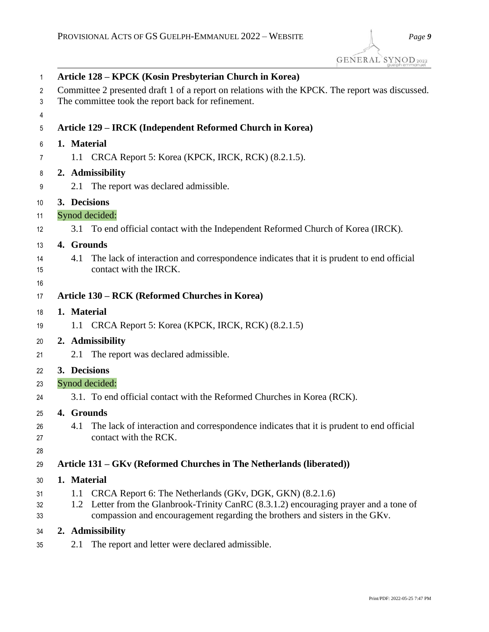| 1  |             | Article 128 – KPCK (Kosin Presbyterian Church in Korea)                                         |
|----|-------------|-------------------------------------------------------------------------------------------------|
| 2  |             | Committee 2 presented draft 1 of a report on relations with the KPCK. The report was discussed. |
| 3  |             | The committee took the report back for refinement.                                              |
| 4  |             |                                                                                                 |
| 5  |             | Article 129 – IRCK (Independent Reformed Church in Korea)                                       |
| 6  | 1. Material |                                                                                                 |
| 7  |             | 1.1 CRCA Report 5: Korea (KPCK, IRCK, RCK) (8.2.1.5).                                           |
| 8  |             | 2. Admissibility                                                                                |
| 9  | 2.1         | The report was declared admissible.                                                             |
| 10 |             | 3. Decisions                                                                                    |
| 11 |             | Synod decided:                                                                                  |
| 12 |             | 3.1 To end official contact with the Independent Reformed Church of Korea (IRCK).               |
| 13 | 4. Grounds  |                                                                                                 |
| 14 | 4.1         | The lack of interaction and correspondence indicates that it is prudent to end official         |
| 15 |             | contact with the IRCK.                                                                          |
| 16 |             |                                                                                                 |
| 17 |             | Article 130 – RCK (Reformed Churches in Korea)                                                  |
| 18 | 1. Material |                                                                                                 |
| 19 |             | 1.1 CRCA Report 5: Korea (KPCK, IRCK, RCK) (8.2.1.5)                                            |
| 20 |             | 2. Admissibility                                                                                |
| 21 | 2.1         | The report was declared admissible.                                                             |
| 22 |             | 3. Decisions                                                                                    |
| 23 |             | Synod decided:                                                                                  |
| 24 |             | 3.1. To end official contact with the Reformed Churches in Korea (RCK).                         |
| 25 | 4. Grounds  |                                                                                                 |
| 26 |             | 4.1 The lack of interaction and correspondence indicates that it is prudent to end official     |
| 27 |             | contact with the RCK.                                                                           |
| 28 |             |                                                                                                 |
| 29 |             | Article 131 – GKv (Reformed Churches in The Netherlands (liberated))                            |
| 30 | 1. Material |                                                                                                 |
| 31 |             | 1.1 CRCA Report 6: The Netherlands (GKv, DGK, GKN) (8.2.1.6)                                    |
| 32 |             | 1.2 Letter from the Glanbrook-Trinity CanRC (8.3.1.2) encouraging prayer and a tone of          |
| 33 |             | compassion and encouragement regarding the brothers and sisters in the GKv.                     |
| 34 |             | 2. Admissibility                                                                                |

2.1 The report and letter were declared admissible.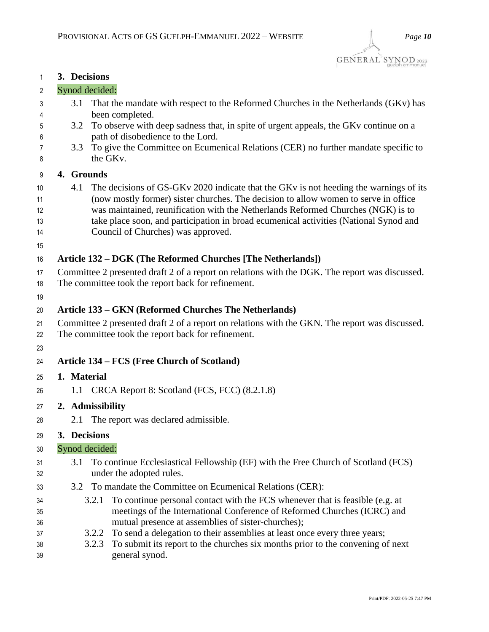| 1        | 3. Decisions                                                                                                                   |
|----------|--------------------------------------------------------------------------------------------------------------------------------|
| 2        | Synod decided:                                                                                                                 |
| 3<br>4   | That the mandate with respect to the Reformed Churches in the Netherlands (GKv) has<br>3.1<br>been completed.                  |
| 5        | To observe with deep sadness that, in spite of urgent appeals, the GKv continue on a<br>3.2                                    |
| 6<br>7   | path of disobedience to the Lord.<br>To give the Committee on Ecumenical Relations (CER) no further mandate specific to<br>3.3 |
| 8        | the GK <sub>v</sub> .                                                                                                          |
| 9        | 4. Grounds                                                                                                                     |
| 10       | 4.1<br>The decisions of GS-GKv 2020 indicate that the GKv is not heeding the warnings of its                                   |
| 11       | (now mostly former) sister churches. The decision to allow women to serve in office                                            |
| 12       | was maintained, reunification with the Netherlands Reformed Churches (NGK) is to                                               |
| 13<br>14 | take place soon, and participation in broad ecumenical activities (National Synod and<br>Council of Churches) was approved.    |
| 15       |                                                                                                                                |
| 16       | Article 132 – DGK (The Reformed Churches [The Netherlands])                                                                    |
| 17       | Committee 2 presented draft 2 of a report on relations with the DGK. The report was discussed.                                 |
| 18       | The committee took the report back for refinement.                                                                             |
| 19       |                                                                                                                                |
| 20       | Article 133 – GKN (Reformed Churches The Netherlands)                                                                          |
| 21       | Committee 2 presented draft 2 of a report on relations with the GKN. The report was discussed.                                 |
| 22       | The committee took the report back for refinement.                                                                             |
| 23       |                                                                                                                                |
| 24       | Article 134 – FCS (Free Church of Scotland)                                                                                    |
| 25       | 1. Material                                                                                                                    |
| 26       | 1.1 CRCA Report 8: Scotland (FCS, FCC) (8.2.1.8)                                                                               |
| 27       | 2. Admissibility                                                                                                               |
| 28       | The report was declared admissible.<br>2.1                                                                                     |
| 29       | 3. Decisions                                                                                                                   |
| 30       | Synod decided:                                                                                                                 |
| 31       | To continue Ecclesiastical Fellowship (EF) with the Free Church of Scotland (FCS)<br>3.1                                       |
| 32       | under the adopted rules.                                                                                                       |
| 33       | To mandate the Committee on Ecumenical Relations (CER):<br>3.2                                                                 |
| 34       | To continue personal contact with the FCS whenever that is feasible (e.g. at<br>3.2.1                                          |
| 35       | meetings of the International Conference of Reformed Churches (ICRC) and<br>mutual presence at assemblies of sister-churches); |
| 36<br>37 | To send a delegation to their assemblies at least once every three years;<br>3.2.2                                             |
| 38       | 3.2.3 To submit its report to the churches six months prior to the convening of next                                           |

 3.2.3 To submit its report to the churches six months prior to the convening of next general synod.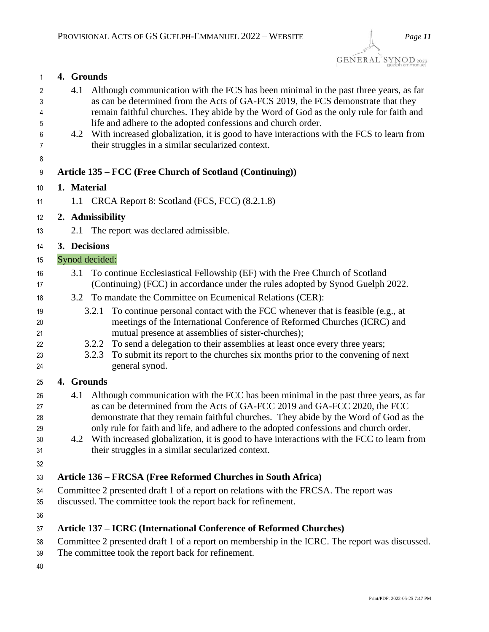| 1      |             | 4. Grounds                                                                                     |
|--------|-------------|------------------------------------------------------------------------------------------------|
| 2      | 4.1         | Although communication with the FCS has been minimal in the past three years, as far           |
| 3      |             | as can be determined from the Acts of GA-FCS 2019, the FCS demonstrate that they               |
| 4      |             | remain faithful churches. They abide by the Word of God as the only rule for faith and         |
| 5      |             | life and adhere to the adopted confessions and church order.                                   |
| 6      | 4.2         | With increased globalization, it is good to have interactions with the FCS to learn from       |
| 7      |             | their struggles in a similar secularized context.                                              |
| 8<br>9 |             | Article 135 – FCC (Free Church of Scotland (Continuing))                                       |
|        | 1. Material |                                                                                                |
| 10     |             |                                                                                                |
| 11     |             | 1.1 CRCA Report 8: Scotland (FCS, FCC) (8.2.1.8)                                               |
| 12     |             | 2. Admissibility                                                                               |
| 13     | 2.1         | The report was declared admissible.                                                            |
| 14     |             | 3. Decisions                                                                                   |
| 15     |             | Synod decided:                                                                                 |
| 16     | 3.1         | To continue Ecclesiastical Fellowship (EF) with the Free Church of Scotland                    |
| 17     |             | (Continuing) (FCC) in accordance under the rules adopted by Synod Guelph 2022.                 |
| 18     | 3.2         | To mandate the Committee on Ecumenical Relations (CER):                                        |
| 19     |             | To continue personal contact with the FCC whenever that is feasible (e.g., at<br>3.2.1         |
| 20     |             | meetings of the International Conference of Reformed Churches (ICRC) and                       |
| 21     |             | mutual presence at assemblies of sister-churches);                                             |
| 22     |             | To send a delegation to their assemblies at least once every three years;<br>3.2.2             |
| 23     |             | To submit its report to the churches six months prior to the convening of next<br>3.2.3        |
| 24     |             | general synod.                                                                                 |
| 25     |             | 4. Grounds                                                                                     |
| 26     | 4.1         | Although communication with the FCC has been minimal in the past three years, as far           |
| 27     |             | as can be determined from the Acts of GA-FCC 2019 and GA-FCC 2020, the FCC                     |
| 28     |             | demonstrate that they remain faithful churches. They abide by the Word of God as the           |
| 29     |             | only rule for faith and life, and adhere to the adopted confessions and church order.          |
| 30     |             | 4.2 With increased globalization, it is good to have interactions with the FCC to learn from   |
| 31     |             | their struggles in a similar secularized context.                                              |
| 32     |             |                                                                                                |
| 33     |             | Article 136 – FRCSA (Free Reformed Churches in South Africa)                                   |
| 34     |             | Committee 2 presented draft 1 of a report on relations with the FRCSA. The report was          |
| 35     |             | discussed. The committee took the report back for refinement.                                  |
| 36     |             |                                                                                                |
| 37     |             | Article 137 – ICRC (International Conference of Reformed Churches)                             |
| 38     |             | Committee 2 presented draft 1 of a report on membership in the ICRC. The report was discussed. |
| 39     |             | The committee took the report back for refinement.                                             |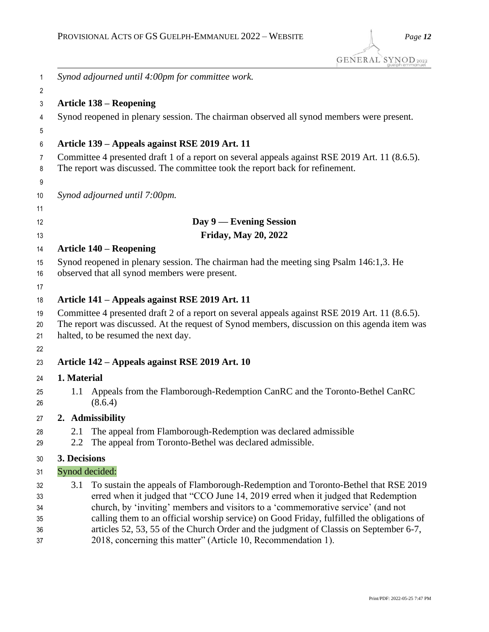| 1              |                                                                                               | Synod adjourned until 4:00pm for committee work.                                                                                                                                   |  |
|----------------|-----------------------------------------------------------------------------------------------|------------------------------------------------------------------------------------------------------------------------------------------------------------------------------------|--|
| $\mathbf{2}$   |                                                                                               |                                                                                                                                                                                    |  |
| 3              |                                                                                               | <b>Article 138 – Reopening</b>                                                                                                                                                     |  |
| 4<br>5         |                                                                                               | Synod reopened in plenary session. The chairman observed all synod members were present.                                                                                           |  |
| 6              |                                                                                               | Article 139 – Appeals against RSE 2019 Art. 11                                                                                                                                     |  |
| $\overline{7}$ |                                                                                               | Committee 4 presented draft 1 of a report on several appeals against RSE 2019 Art. 11 (8.6.5).                                                                                     |  |
| 8              |                                                                                               | The report was discussed. The committee took the report back for refinement.                                                                                                       |  |
| 9<br>10        |                                                                                               | Synod adjourned until 7:00pm.                                                                                                                                                      |  |
| 11             |                                                                                               |                                                                                                                                                                                    |  |
| 12             |                                                                                               | Day 9 — Evening Session                                                                                                                                                            |  |
| 13             |                                                                                               | <b>Friday, May 20, 2022</b>                                                                                                                                                        |  |
| 14             |                                                                                               | <b>Article 140 – Reopening</b>                                                                                                                                                     |  |
| 15             |                                                                                               | Synod reopened in plenary session. The chairman had the meeting sing Psalm 146:1,3. He                                                                                             |  |
| 16             |                                                                                               | observed that all synod members were present.                                                                                                                                      |  |
| 17             |                                                                                               |                                                                                                                                                                                    |  |
| 18             |                                                                                               | Article 141 – Appeals against RSE 2019 Art. 11                                                                                                                                     |  |
| 19             |                                                                                               | Committee 4 presented draft 2 of a report on several appeals against RSE 2019 Art. 11 (8.6.5).                                                                                     |  |
| 20             | The report was discussed. At the request of Synod members, discussion on this agenda item was |                                                                                                                                                                                    |  |
| 21             |                                                                                               | halted, to be resumed the next day.                                                                                                                                                |  |
| 22             |                                                                                               |                                                                                                                                                                                    |  |
| 23             |                                                                                               | Article 142 – Appeals against RSE 2019 Art. 10                                                                                                                                     |  |
| 24             | 1. Material                                                                                   |                                                                                                                                                                                    |  |
| 25<br>26       | 1.1                                                                                           | Appeals from the Flamborough-Redemption CanRC and the Toronto-Bethel CanRC<br>(8.6.4)                                                                                              |  |
| 27             |                                                                                               | 2. Admissibility                                                                                                                                                                   |  |
| 28             | 2.1                                                                                           | The appeal from Flamborough-Redemption was declared admissible                                                                                                                     |  |
| 29             | 2.2                                                                                           | The appeal from Toronto-Bethel was declared admissible.                                                                                                                            |  |
| 30             | 3. Decisions                                                                                  |                                                                                                                                                                                    |  |
| 31             | Synod decided:                                                                                |                                                                                                                                                                                    |  |
| 32             | 3.1                                                                                           | To sustain the appeals of Flamborough-Redemption and Toronto-Bethel that RSE 2019                                                                                                  |  |
| 33             |                                                                                               | erred when it judged that "CCO June 14, 2019 erred when it judged that Redemption                                                                                                  |  |
| 34             |                                                                                               | church, by 'inviting' members and visitors to a 'commemorative service' (and not                                                                                                   |  |
| 35<br>36       |                                                                                               | calling them to an official worship service) on Good Friday, fulfilled the obligations of<br>articles 52, 53, 55 of the Church Order and the judgment of Classis on September 6-7, |  |
| 37             |                                                                                               | 2018, concerning this matter" (Article 10, Recommendation 1).                                                                                                                      |  |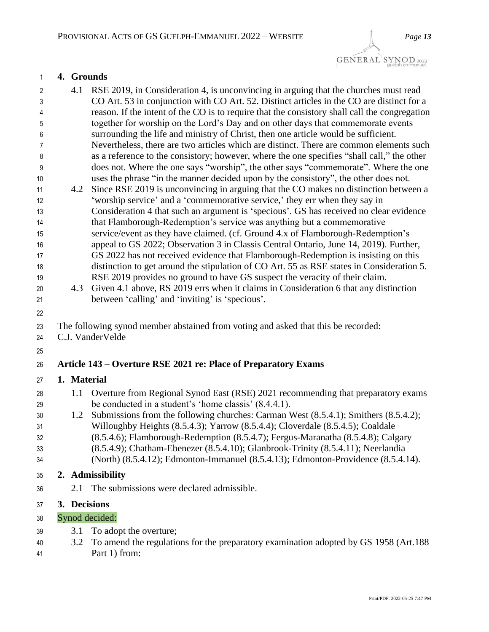## 4.1 RSE 2019, in Consideration 4, is unconvincing in arguing that the churches must read CO Art. 53 in conjunction with CO Art. 52. Distinct articles in the CO are distinct for a reason. If the intent of the CO is to require that the consistory shall call the congregation together for worship on the Lord's Day and on other days that commemorate events surrounding the life and ministry of Christ, then one article would be sufficient. Nevertheless, there are two articles which are distinct. There are common elements such as a reference to the consistory; however, where the one specifies "shall call," the other does not. Where the one says "worship", the other says "commemorate". Where the one uses the phrase "in the manner decided upon by the consistory", the other does not. 4.2 Since RSE 2019 is unconvincing in arguing that the CO makes no distinction between a 'worship service' and a 'commemorative service,' they err when they say in Consideration 4 that such an argument is 'specious'. GS has received no clear evidence that Flamborough-Redemption's service was anything but a commemorative service/event as they have claimed. (cf. Ground 4.x of Flamborough-Redemption's appeal to GS 2022; Observation 3 in Classis Central Ontario, June 14, 2019). Further, GS 2022 has not received evidence that Flamborough-Redemption is insisting on this distinction to get around the stipulation of CO Art. 55 as RSE states in Consideration 5. RSE 2019 provides no ground to have GS suspect the veracity of their claim. 4.3 Given 4.1 above, RS 2019 errs when it claims in Consideration 6 that any distinction between 'calling' and 'inviting' is 'specious'. The following synod member abstained from voting and asked that this be recorded: C.J. VanderVelde **Article 143 – Overture RSE 2021 re: Place of Preparatory Exams 1. Material** 28 1.1 Overture from Regional Synod East (RSE) 2021 recommending that preparatory exams be conducted in a student's 'home classis' (8.4.4.1). 1.2 Submissions from the following churches: Carman West (8.5.4.1); Smithers (8.5.4.2); Willoughby Heights (8.5.4.3); Yarrow (8.5.4.4); Cloverdale (8.5.4.5); Coaldale (8.5.4.6); Flamborough-Redemption (8.5.4.7); Fergus-Maranatha (8.5.4.8); Calgary (8.5.4.9); Chatham-Ebenezer (8.5.4.10); Glanbrook-Trinity (8.5.4.11); Neerlandia (North) (8.5.4.12); Edmonton-Immanuel (8.5.4.13); Edmonton-Providence (8.5.4.14). **2. Admissibility** 2.1 The submissions were declared admissible. **3. Decisions**

## Synod decided:

**4. Grounds**

- 3.1 To adopt the overture;
- 3.2 To amend the regulations for the preparatory examination adopted by GS 1958 (Art.188 Part 1) from: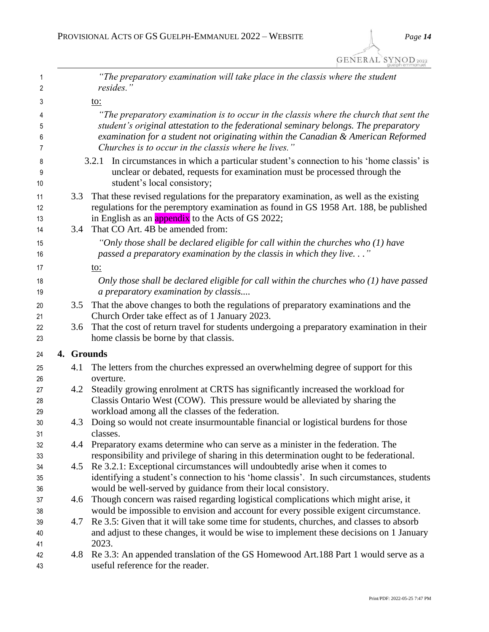| 1<br>2   |            | "The preparatory examination will take place in the classis where the student<br>resides."                                                                                     |
|----------|------------|--------------------------------------------------------------------------------------------------------------------------------------------------------------------------------|
| 3        |            | <u>to:</u>                                                                                                                                                                     |
|          |            |                                                                                                                                                                                |
| 4<br>5   |            | "The preparatory examination is to occur in the classis where the church that sent the<br>student's original attestation to the federational seminary belongs. The preparatory |
| 6        |            | examination for a student not originating within the Canadian & American Reformed                                                                                              |
| 7        |            | Churches is to occur in the classis where he lives."                                                                                                                           |
| 8        |            | In circumstances in which a particular student's connection to his 'home classis' is<br>3.2.1                                                                                  |
| 9        |            | unclear or debated, requests for examination must be processed through the                                                                                                     |
| 10       |            | student's local consistory;                                                                                                                                                    |
| 11       | 3.3        | That these revised regulations for the preparatory examination, as well as the existing                                                                                        |
| 12       |            | regulations for the peremptory examination as found in GS 1958 Art. 188, be published                                                                                          |
| 13       |            | in English as an <i>appendix</i> to the Acts of GS 2022;                                                                                                                       |
| 14       | 3.4        | That CO Art. 4B be amended from:                                                                                                                                               |
| 15       |            | "Only those shall be declared eligible for call within the churches who $(1)$ have                                                                                             |
| 16       |            | passed a preparatory examination by the classis in which they live"                                                                                                            |
| 17       |            | <u>to:</u>                                                                                                                                                                     |
| 18       |            | Only those shall be declared eligible for call within the churches who $(1)$ have passed                                                                                       |
| 19       |            | a preparatory examination by classis                                                                                                                                           |
| 20       | 3.5        | That the above changes to both the regulations of preparatory examinations and the                                                                                             |
| 21       |            | Church Order take effect as of 1 January 2023.                                                                                                                                 |
| 22       | 3.6        | That the cost of return travel for students undergoing a preparatory examination in their                                                                                      |
| 23       |            | home classis be borne by that classis.                                                                                                                                         |
| 24       | 4. Grounds |                                                                                                                                                                                |
| 25       | 4.1        | The letters from the churches expressed an overwhelming degree of support for this                                                                                             |
| 26       |            | overture.                                                                                                                                                                      |
| 27       | 4.2        | Steadily growing enrolment at CRTS has significantly increased the workload for                                                                                                |
| 28       |            | Classis Ontario West (COW). This pressure would be alleviated by sharing the                                                                                                   |
| 29       |            | workload among all the classes of the federation.                                                                                                                              |
| 30       | 4.3        | Doing so would not create insurmountable financial or logistical burdens for those<br>classes.                                                                                 |
| 31<br>32 | 4.4        | Preparatory exams determine who can serve as a minister in the federation. The                                                                                                 |
| 33       |            | responsibility and privilege of sharing in this determination ought to be federational.                                                                                        |
| 34       | 4.5        | Re 3.2.1: Exceptional circumstances will undoubtedly arise when it comes to                                                                                                    |
| 35       |            | identifying a student's connection to his 'home classis'. In such circumstances, students                                                                                      |
| 36       |            | would be well-served by guidance from their local consistory.                                                                                                                  |
| 37       | 4.6        | Though concern was raised regarding logistical complications which might arise, it                                                                                             |
| 38       |            | would be impossible to envision and account for every possible exigent circumstance.                                                                                           |
| 39       | 4.7        | Re 3.5: Given that it will take some time for students, churches, and classes to absorb                                                                                        |
| 40       |            | and adjust to these changes, it would be wise to implement these decisions on 1 January                                                                                        |
| 41       |            | 2023.                                                                                                                                                                          |
| 42       | 4.8        | Re 3.3: An appended translation of the GS Homewood Art.188 Part 1 would serve as a                                                                                             |
| 43       |            | useful reference for the reader.                                                                                                                                               |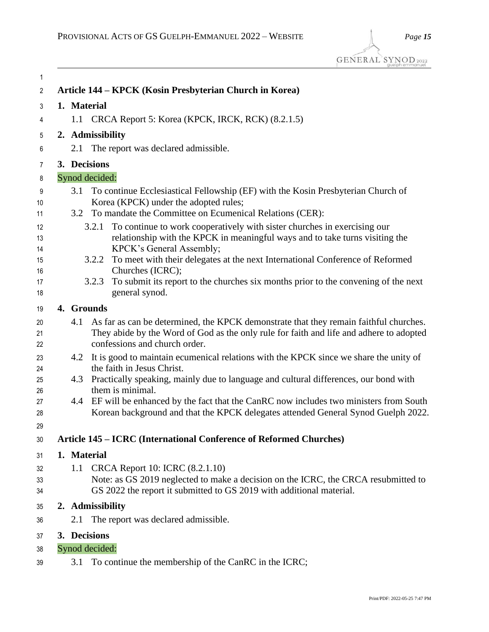| 1              |             |                                                                                                                                                                                               |
|----------------|-------------|-----------------------------------------------------------------------------------------------------------------------------------------------------------------------------------------------|
| $\mathbf{2}$   |             | Article 144 - KPCK (Kosin Presbyterian Church in Korea)                                                                                                                                       |
| 3              | 1. Material |                                                                                                                                                                                               |
| 4              |             | 1.1 CRCA Report 5: Korea (KPCK, IRCK, RCK) (8.2.1.5)                                                                                                                                          |
| 5              |             | 2. Admissibility                                                                                                                                                                              |
| 6              | 2.1         | The report was declared admissible.                                                                                                                                                           |
| 7              |             | 3. Decisions                                                                                                                                                                                  |
| 8              |             | Synod decided:                                                                                                                                                                                |
| 9<br>10        | 3.1         | To continue Ecclesiastical Fellowship (EF) with the Kosin Presbyterian Church of<br>Korea (KPCK) under the adopted rules;                                                                     |
| 11             | 3.2         | To mandate the Committee on Ecumenical Relations (CER):                                                                                                                                       |
| 12<br>13<br>14 |             | To continue to work cooperatively with sister churches in exercising our<br>3.2.1<br>relationship with the KPCK in meaningful ways and to take turns visiting the<br>KPCK's General Assembly; |
| 15<br>16       |             | 3.2.2 To meet with their delegates at the next International Conference of Reformed<br>Churches (ICRC);                                                                                       |
| 17<br>18       |             | To submit its report to the churches six months prior to the convening of the next<br>3.2.3<br>general synod.                                                                                 |
| 19             | 4. Grounds  |                                                                                                                                                                                               |
| 20<br>21       | 4.1         | As far as can be determined, the KPCK demonstrate that they remain faithful churches.<br>They abide by the Word of God as the only rule for faith and life and adhere to adopted              |
| 22             |             | confessions and church order.                                                                                                                                                                 |
| 23<br>24       | 4.2         | It is good to maintain ecumenical relations with the KPCK since we share the unity of<br>the faith in Jesus Christ.                                                                           |
| 25<br>26       | 4.3         | Practically speaking, mainly due to language and cultural differences, our bond with<br>them is minimal.                                                                                      |
| 27<br>28       |             | 4.4 EF will be enhanced by the fact that the CanRC now includes two ministers from South<br>Korean background and that the KPCK delegates attended General Synod Guelph 2022.                 |
| 29             |             |                                                                                                                                                                                               |
| 30             |             | Article 145 - ICRC (International Conference of Reformed Churches)                                                                                                                            |
| 31             | 1. Material |                                                                                                                                                                                               |
| 32<br>33       | 1.1         | CRCA Report 10: ICRC (8.2.1.10)<br>Note: as GS 2019 neglected to make a decision on the ICRC, the CRCA resubmitted to                                                                         |
| 34             |             | GS 2022 the report it submitted to GS 2019 with additional material.                                                                                                                          |
| 35             |             | 2. Admissibility                                                                                                                                                                              |
| 36             | 2.1         | The report was declared admissible.                                                                                                                                                           |
| 37             |             | 3. Decisions                                                                                                                                                                                  |
| 38             |             | Synod decided:                                                                                                                                                                                |
| 39             | 3.1         | To continue the membership of the CanRC in the ICRC;                                                                                                                                          |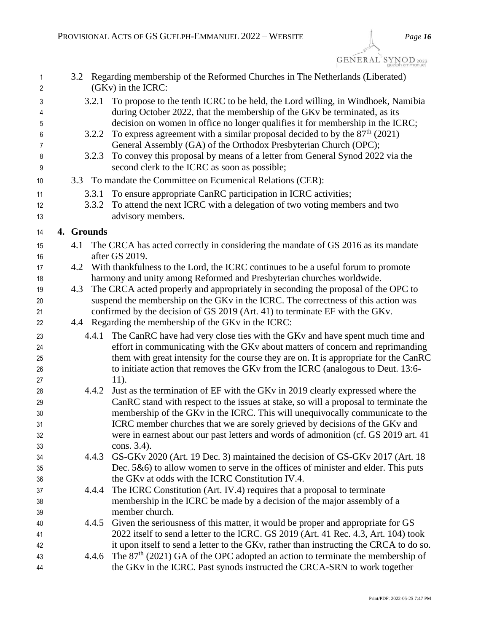| 1<br>2      |            | 3.2 Regarding membership of the Reformed Churches in The Netherlands (Liberated)<br>(GKv) in the ICRC:                                                                                                                                         |
|-------------|------------|------------------------------------------------------------------------------------------------------------------------------------------------------------------------------------------------------------------------------------------------|
| 3<br>4<br>5 | 3.2.1      | To propose to the tenth ICRC to be held, the Lord willing, in Windhoek, Namibia<br>during October 2022, that the membership of the GKv be terminated, as its<br>decision on women in office no longer qualifies it for membership in the ICRC; |
| 6           | 3.2.2      | To express agreement with a similar proposal decided to by the $87th$ (2021)                                                                                                                                                                   |
| 7           |            | General Assembly (GA) of the Orthodox Presbyterian Church (OPC);                                                                                                                                                                               |
| 8<br>9      | 3.2.3      | To convey this proposal by means of a letter from General Synod 2022 via the<br>second clerk to the ICRC as soon as possible;                                                                                                                  |
| 10          |            | 3.3 To mandate the Committee on Ecumenical Relations (CER):                                                                                                                                                                                    |
| 11          | 3.3.1      | To ensure appropriate CanRC participation in ICRC activities;                                                                                                                                                                                  |
| 12          | 3.3.2      | To attend the next ICRC with a delegation of two voting members and two                                                                                                                                                                        |
| 13          |            | advisory members.                                                                                                                                                                                                                              |
| 14          | 4. Grounds |                                                                                                                                                                                                                                                |
|             | 4.1        | The CRCA has acted correctly in considering the mandate of GS 2016 as its mandate                                                                                                                                                              |
| 15<br>16    |            | after GS 2019.                                                                                                                                                                                                                                 |
| 17          | 4.2        | With thankfulness to the Lord, the ICRC continues to be a useful forum to promote                                                                                                                                                              |
| 18          |            | harmony and unity among Reformed and Presbyterian churches worldwide.                                                                                                                                                                          |
| 19          | 4.3        | The CRCA acted properly and appropriately in seconding the proposal of the OPC to                                                                                                                                                              |
| 20          |            | suspend the membership on the GKv in the ICRC. The correctness of this action was                                                                                                                                                              |
| 21          |            | confirmed by the decision of GS 2019 (Art. 41) to terminate EF with the GKv.                                                                                                                                                                   |
| 22          | 4.4        | Regarding the membership of the GKv in the ICRC:                                                                                                                                                                                               |
| 23          | 4.4.1      | The CanRC have had very close ties with the GKv and have spent much time and                                                                                                                                                                   |
| 24          |            | effort in communicating with the GKv about matters of concern and reprimanding                                                                                                                                                                 |
| 25          |            | them with great intensity for the course they are on. It is appropriate for the CanRC                                                                                                                                                          |
| 26          |            | to initiate action that removes the GKv from the ICRC (analogous to Deut. 13:6-                                                                                                                                                                |
| 27          |            | 11).                                                                                                                                                                                                                                           |
| 28          | 4.4.2      | Just as the termination of EF with the GKv in 2019 clearly expressed where the                                                                                                                                                                 |
| 29          |            | CanRC stand with respect to the issues at stake, so will a proposal to terminate the                                                                                                                                                           |
| $30\,$      |            | membership of the GKv in the ICRC. This will unequivocally communicate to the                                                                                                                                                                  |
| 31          |            | ICRC member churches that we are sorely grieved by decisions of the GKv and                                                                                                                                                                    |
| 32          |            | were in earnest about our past letters and words of admonition (cf. GS 2019 art. 41                                                                                                                                                            |
| 33          |            | cons. 3.4).                                                                                                                                                                                                                                    |
| 34          | 4.4.3      | GS-GKv 2020 (Art. 19 Dec. 3) maintained the decision of GS-GKv 2017 (Art. 18                                                                                                                                                                   |
| 35          |            | Dec. $5&6$ ) to allow women to serve in the offices of minister and elder. This puts                                                                                                                                                           |
| 36          |            | the GKv at odds with the ICRC Constitution IV.4.                                                                                                                                                                                               |
| 37          | 4.4.4      | The ICRC Constitution (Art. IV.4) requires that a proposal to terminate                                                                                                                                                                        |
| 38          |            | membership in the ICRC be made by a decision of the major assembly of a                                                                                                                                                                        |
| 39          |            | member church.                                                                                                                                                                                                                                 |
| 40          | 4.4.5      | Given the seriousness of this matter, it would be proper and appropriate for GS                                                                                                                                                                |
| 41          |            | 2022 itself to send a letter to the ICRC. GS 2019 (Art. 41 Rec. 4.3, Art. 104) took                                                                                                                                                            |
| 42          |            | it upon itself to send a letter to the GKv, rather than instructing the CRCA to do so.                                                                                                                                                         |
| 43          | 4.4.6      | The $87th$ (2021) GA of the OPC adopted an action to terminate the membership of                                                                                                                                                               |
| 44          |            | the GKv in the ICRC. Past synods instructed the CRCA-SRN to work together                                                                                                                                                                      |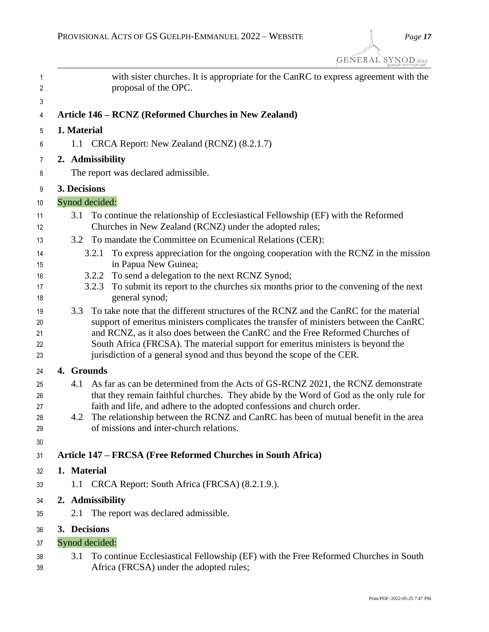| $\mathbf{1}$<br>$\overline{2}$ |              | with sister churches. It is appropriate for the CanRC to express agreement with the<br>proposal of the OPC.                                                      |
|--------------------------------|--------------|------------------------------------------------------------------------------------------------------------------------------------------------------------------|
| 3                              |              |                                                                                                                                                                  |
| 4                              |              | Article 146 - RCNZ (Reformed Churches in New Zealand)                                                                                                            |
| 5                              | 1. Material  |                                                                                                                                                                  |
| 6                              |              | 1.1 CRCA Report: New Zealand (RCNZ) (8.2.1.7)                                                                                                                    |
| 7                              |              | 2. Admissibility                                                                                                                                                 |
| 8                              |              | The report was declared admissible.                                                                                                                              |
| 9                              | 3. Decisions |                                                                                                                                                                  |
| 10                             |              | Synod decided:                                                                                                                                                   |
| 11<br>12                       | 3.1          | To continue the relationship of Ecclesiastical Fellowship (EF) with the Reformed<br>Churches in New Zealand (RCNZ) under the adopted rules;                      |
| 13                             |              | 3.2 To mandate the Committee on Ecumenical Relations (CER):                                                                                                      |
| 14<br>15                       |              | To express appreciation for the ongoing cooperation with the RCNZ in the mission<br>3.2.1<br>in Papua New Guinea;                                                |
| 16                             |              | To send a delegation to the next RCNZ Synod;<br>3.2.2                                                                                                            |
| 17<br>18                       |              | To submit its report to the churches six months prior to the convening of the next<br>3.2.3<br>general synod;                                                    |
| 19                             | 3.3          | To take note that the different structures of the RCNZ and the CanRC for the material                                                                            |
| 20                             |              | support of emeritus ministers complicates the transfer of ministers between the CanRC                                                                            |
| 21<br>22                       |              | and RCNZ, as it also does between the CanRC and the Free Reformed Churches of<br>South Africa (FRCSA). The material support for emeritus ministers is beyond the |
| 23                             |              | jurisdiction of a general synod and thus beyond the scope of the CER.                                                                                            |
| 24                             | 4. Grounds   |                                                                                                                                                                  |
| 25                             | 4.1          | As far as can be determined from the Acts of GS-RCNZ 2021, the RCNZ demonstrate                                                                                  |
| 26                             |              | that they remain faithful churches. They abide by the Word of God as the only rule for                                                                           |
| 27<br>28                       | 4.2          | faith and life, and adhere to the adopted confessions and church order.<br>The relationship between the RCNZ and CanRC has been of mutual benefit in the area    |
| 29                             |              | of missions and inter-church relations.                                                                                                                          |
| 30                             |              |                                                                                                                                                                  |
| 31                             |              | Article 147 - FRCSA (Free Reformed Churches in South Africa)                                                                                                     |
| 32                             | 1. Material  |                                                                                                                                                                  |
| 33                             |              | 1.1 CRCA Report: South Africa (FRCSA) (8.2.1.9.).                                                                                                                |
| 34                             |              | 2. Admissibility                                                                                                                                                 |
| 35                             | 2.1          | The report was declared admissible.                                                                                                                              |
| 36                             | 3. Decisions |                                                                                                                                                                  |
| 37                             |              | Synod decided:                                                                                                                                                   |
| 38<br>39                       | 3.1          | To continue Ecclesiastical Fellowship (EF) with the Free Reformed Churches in South<br>Africa (FRCSA) under the adopted rules;                                   |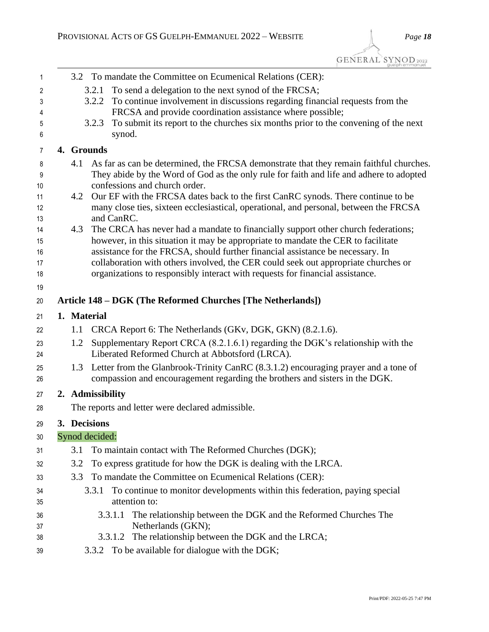| 1        | 3.2 To mandate the Committee on Ecumenical Relations (CER):                                                                                                           |
|----------|-----------------------------------------------------------------------------------------------------------------------------------------------------------------------|
| 2        | To send a delegation to the next synod of the FRCSA;<br>3.2.1                                                                                                         |
| 3        | To continue involvement in discussions regarding financial requests from the<br>3.2.2                                                                                 |
| 4        | FRCSA and provide coordination assistance where possible;                                                                                                             |
| 5        | To submit its report to the churches six months prior to the convening of the next<br>3.2.3                                                                           |
| 6        | synod.                                                                                                                                                                |
| 7        | 4. Grounds                                                                                                                                                            |
| 8        | As far as can be determined, the FRCSA demonstrate that they remain faithful churches.<br>4.1                                                                         |
| 9        | They abide by the Word of God as the only rule for faith and life and adhere to adopted                                                                               |
| 10       | confessions and church order.                                                                                                                                         |
| 11       | Our EF with the FRCSA dates back to the first CanRC synods. There continue to be<br>4.2                                                                               |
| 12       | many close ties, sixteen ecclesiastical, operational, and personal, between the FRCSA<br>and CanRC.                                                                   |
| 13<br>14 | 4.3<br>The CRCA has never had a mandate to financially support other church federations;                                                                              |
| 15       | however, in this situation it may be appropriate to mandate the CER to facilitate                                                                                     |
| 16       | assistance for the FRCSA, should further financial assistance be necessary. In                                                                                        |
| 17       | collaboration with others involved, the CER could seek out appropriate churches or                                                                                    |
| 18       | organizations to responsibly interact with requests for financial assistance.                                                                                         |
| 19       |                                                                                                                                                                       |
| 20       | Article 148 – DGK (The Reformed Churches [The Netherlands])                                                                                                           |
| 21       | 1. Material                                                                                                                                                           |
| 22       | CRCA Report 6: The Netherlands (GKv, DGK, GKN) (8.2.1.6).<br>1.1                                                                                                      |
| 23       | Supplementary Report CRCA (8.2.1.6.1) regarding the DGK's relationship with the<br>1.2                                                                                |
| 24       | Liberated Reformed Church at Abbotsford (LRCA).                                                                                                                       |
| 25<br>26 | 1.3 Letter from the Glanbrook-Trinity CanRC (8.3.1.2) encouraging prayer and a tone of<br>compassion and encouragement regarding the brothers and sisters in the DGK. |
| 27       | 2. Admissibility                                                                                                                                                      |
| 28       | The reports and letter were declared admissible.                                                                                                                      |
|          | 3. Decisions                                                                                                                                                          |
| 29       | Synod decided:                                                                                                                                                        |
| 30       |                                                                                                                                                                       |
| 31       | 3.1<br>To maintain contact with The Reformed Churches (DGK);                                                                                                          |
| 32       | To express gratitude for how the DGK is dealing with the LRCA.<br>3.2                                                                                                 |
| 33       | To mandate the Committee on Ecumenical Relations (CER):<br>3.3                                                                                                        |
| 34       | To continue to monitor developments within this federation, paying special<br>3.3.1                                                                                   |
| 35       | attention to:                                                                                                                                                         |
| 36       | The relationship between the DGK and the Reformed Churches The<br>3.3.1.1                                                                                             |
| 37       | Netherlands (GKN);                                                                                                                                                    |
| 38       | The relationship between the DGK and the LRCA;<br>3.3.1.2                                                                                                             |
| 39       | 3.3.2 To be available for dialogue with the DGK;                                                                                                                      |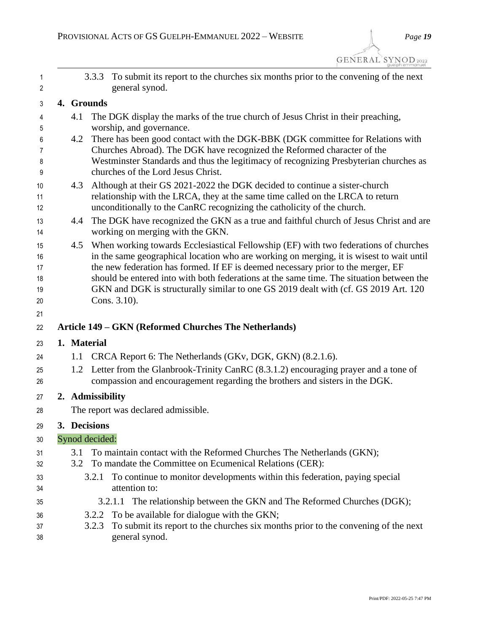|                  | 3.3.3 To submit its report to the churches six months prior to the convening of the next<br>general synod.                                                                                                                                                                                                                                                                                                                                                               |
|------------------|--------------------------------------------------------------------------------------------------------------------------------------------------------------------------------------------------------------------------------------------------------------------------------------------------------------------------------------------------------------------------------------------------------------------------------------------------------------------------|
| 4. Grounds       |                                                                                                                                                                                                                                                                                                                                                                                                                                                                          |
| 4.1              | The DGK display the marks of the true church of Jesus Christ in their preaching,<br>worship, and governance.                                                                                                                                                                                                                                                                                                                                                             |
| 4.2              | There has been good contact with the DGK-BBK (DGK committee for Relations with<br>Churches Abroad). The DGK have recognized the Reformed character of the<br>Westminster Standards and thus the legitimacy of recognizing Presbyterian churches as<br>churches of the Lord Jesus Christ.                                                                                                                                                                                 |
| 4.3              | Although at their GS 2021-2022 the DGK decided to continue a sister-church<br>relationship with the LRCA, they at the same time called on the LRCA to return<br>unconditionally to the CanRC recognizing the catholicity of the church.                                                                                                                                                                                                                                  |
| 4.4              | The DGK have recognized the GKN as a true and faithful church of Jesus Christ and are<br>working on merging with the GKN.                                                                                                                                                                                                                                                                                                                                                |
| 4.5              | When working towards Ecclesiastical Fellowship (EF) with two federations of churches<br>in the same geographical location who are working on merging, it is wisest to wait until<br>the new federation has formed. If EF is deemed necessary prior to the merger, EF<br>should be entered into with both federations at the same time. The situation between the<br>GKN and DGK is structurally similar to one GS 2019 dealt with (cf. GS 2019 Art. 120)<br>Cons. 3.10). |
|                  |                                                                                                                                                                                                                                                                                                                                                                                                                                                                          |
|                  | Article 149 - GKN (Reformed Churches The Netherlands)                                                                                                                                                                                                                                                                                                                                                                                                                    |
| 1. Material      |                                                                                                                                                                                                                                                                                                                                                                                                                                                                          |
| 1.1              | CRCA Report 6: The Netherlands (GKv, DGK, GKN) (8.2.1.6).                                                                                                                                                                                                                                                                                                                                                                                                                |
| 1.2              | Letter from the Glanbrook-Trinity CanRC (8.3.1.2) encouraging prayer and a tone of<br>compassion and encouragement regarding the brothers and sisters in the DGK.                                                                                                                                                                                                                                                                                                        |
| 2. Admissibility |                                                                                                                                                                                                                                                                                                                                                                                                                                                                          |
|                  | The report was declared admissible.                                                                                                                                                                                                                                                                                                                                                                                                                                      |
| 3. Decisions     |                                                                                                                                                                                                                                                                                                                                                                                                                                                                          |
| Synod decided:   |                                                                                                                                                                                                                                                                                                                                                                                                                                                                          |
| 3.1              | To maintain contact with the Reformed Churches The Netherlands (GKN);                                                                                                                                                                                                                                                                                                                                                                                                    |
| 3.2              | To mandate the Committee on Ecumenical Relations (CER):                                                                                                                                                                                                                                                                                                                                                                                                                  |
| 3.2.1            | To continue to monitor developments within this federation, paying special<br>attention to:                                                                                                                                                                                                                                                                                                                                                                              |
|                  | 3.2.1.1 The relationship between the GKN and The Reformed Churches (DGK);                                                                                                                                                                                                                                                                                                                                                                                                |
| 3.2.2            | To be available for dialogue with the GKN;                                                                                                                                                                                                                                                                                                                                                                                                                               |
| 3.2.3            | To submit its report to the churches six months prior to the convening of the next<br>general synod.                                                                                                                                                                                                                                                                                                                                                                     |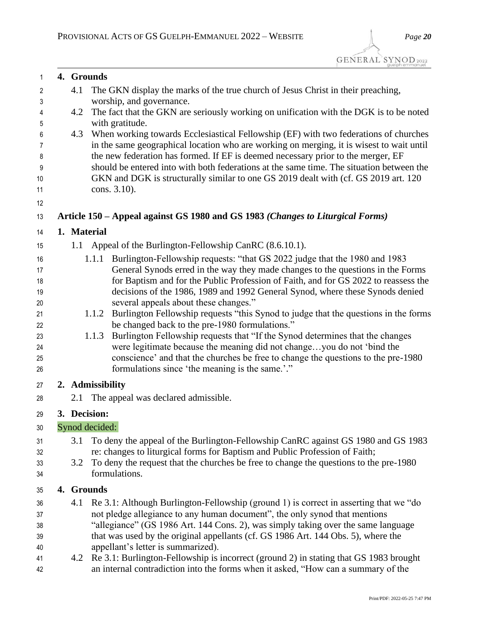| 1        |     | 4. Grounds                                                                                                                                                       |  |
|----------|-----|------------------------------------------------------------------------------------------------------------------------------------------------------------------|--|
| 2        | 4.1 | The GKN display the marks of the true church of Jesus Christ in their preaching,                                                                                 |  |
| 3        |     | worship, and governance.                                                                                                                                         |  |
| 4        | 4.2 | The fact that the GKN are seriously working on unification with the DGK is to be noted                                                                           |  |
| 5        |     | with gratitude.                                                                                                                                                  |  |
| 6        | 4.3 | When working towards Ecclesiastical Fellowship (EF) with two federations of churches                                                                             |  |
| 7        |     | in the same geographical location who are working on merging, it is wisest to wait until                                                                         |  |
| 8        |     | the new federation has formed. If EF is deemed necessary prior to the merger, EF                                                                                 |  |
| 9        |     | should be entered into with both federations at the same time. The situation between the                                                                         |  |
| 10       |     | GKN and DGK is structurally similar to one GS 2019 dealt with (cf. GS 2019 art. 120)                                                                             |  |
| 11       |     | cons. 3.10).                                                                                                                                                     |  |
| 12       |     |                                                                                                                                                                  |  |
| 13       |     | Article 150 – Appeal against GS 1980 and GS 1983 (Changes to Liturgical Forms)                                                                                   |  |
| 14       |     | 1. Material                                                                                                                                                      |  |
| 15       | 1.1 | Appeal of the Burlington-Fellowship CanRC (8.6.10.1).                                                                                                            |  |
| 16       |     | Burlington-Fellowship requests: "that GS 2022 judge that the 1980 and 1983<br>1.1.1                                                                              |  |
| 17       |     | General Synods erred in the way they made changes to the questions in the Forms                                                                                  |  |
| 18       |     | for Baptism and for the Public Profession of Faith, and for GS 2022 to reassess the                                                                              |  |
| 19       |     | decisions of the 1986, 1989 and 1992 General Synod, where these Synods denied                                                                                    |  |
| 20       |     | several appeals about these changes."                                                                                                                            |  |
| 21       |     | Burlington Fellowship requests "this Synod to judge that the questions in the forms<br>1.1.2                                                                     |  |
| 22       |     | be changed back to the pre-1980 formulations."                                                                                                                   |  |
| 23       |     | Burlington Fellowship requests that "If the Synod determines that the changes<br>1.1.3<br>were legitimate because the meaning did not changeyou do not 'bind the |  |
| 24<br>25 |     | conscience' and that the churches be free to change the questions to the pre-1980                                                                                |  |
| 26       |     | formulations since 'the meaning is the same.'."                                                                                                                  |  |
|          |     |                                                                                                                                                                  |  |
| 27       |     | 2. Admissibility                                                                                                                                                 |  |
| 28       |     | 2.1 The appeal was declared admissible.                                                                                                                          |  |
| 29       |     | 3. Decision:                                                                                                                                                     |  |
| $30\,$   |     | Synod decided:                                                                                                                                                   |  |
| 31       | 3.1 | To deny the appeal of the Burlington-Fellowship CanRC against GS 1980 and GS 1983                                                                                |  |
| 32       |     | re: changes to liturgical forms for Baptism and Public Profession of Faith;                                                                                      |  |
| 33       | 3.2 | To deny the request that the churches be free to change the questions to the pre-1980                                                                            |  |
| 34       |     | formulations.                                                                                                                                                    |  |
| 35       |     | 4. Grounds                                                                                                                                                       |  |
| 36       | 4.1 | Re 3.1: Although Burlington-Fellowship (ground 1) is correct in asserting that we "do                                                                            |  |
| 37       |     | not pledge allegiance to any human document", the only synod that mentions                                                                                       |  |
| 38       |     | "allegiance" (GS 1986 Art. 144 Cons. 2), was simply taking over the same language                                                                                |  |
| 39       |     | that was used by the original appellants (cf. GS 1986 Art. 144 Obs. 5), where the                                                                                |  |
| 40       |     | appellant's letter is summarized).                                                                                                                               |  |
| 41       |     | 4.2 Re 3.1: Burlington-Fellowship is incorrect (ground 2) in stating that GS 1983 brought                                                                        |  |

an internal contradiction into the forms when it asked, "How can a summary of the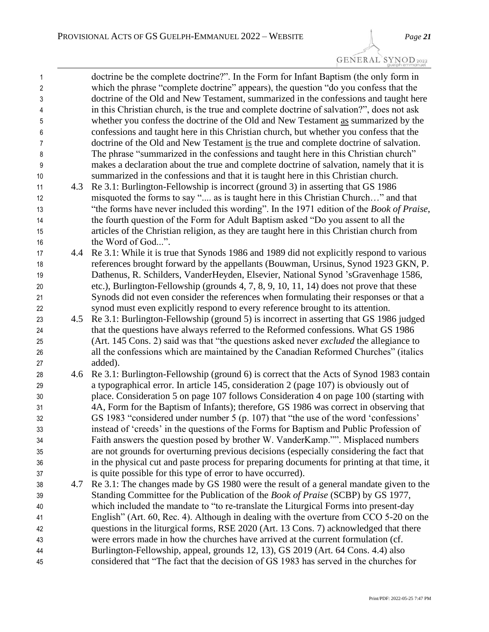| 1              |     | doctrine be the complete doctrine?". In the Form for Infant Baptism (the only form in                                                                                          |
|----------------|-----|--------------------------------------------------------------------------------------------------------------------------------------------------------------------------------|
| $\overline{2}$ |     | which the phrase "complete doctrine" appears), the question "do you confess that the<br>doctrine of the Old and New Testament, summarized in the confessions and taught here   |
| 3              |     |                                                                                                                                                                                |
| 4              |     | in this Christian church, is the true and complete doctrine of salvation?", does not ask<br>whether you confess the doctrine of the Old and New Testament as summarized by the |
| 5              |     |                                                                                                                                                                                |
| 6              |     | confessions and taught here in this Christian church, but whether you confess that the                                                                                         |
| 7              |     | doctrine of the Old and New Testament is the true and complete doctrine of salvation.                                                                                          |
| 8              |     | The phrase "summarized in the confessions and taught here in this Christian church"                                                                                            |
| 9              |     | makes a declaration about the true and complete doctrine of salvation, namely that it is                                                                                       |
| 10             |     | summarized in the confessions and that it is taught here in this Christian church.                                                                                             |
| 11             | 4.3 | Re 3.1: Burlington-Fellowship is incorrect (ground 3) in asserting that GS 1986                                                                                                |
| 12             |     | misquoted the forms to say " as is taught here in this Christian Church" and that                                                                                              |
| 13             |     | "the forms have never included this wording". In the 1971 edition of the <i>Book of Praise</i> ,                                                                               |
| 14             |     | the fourth question of the Form for Adult Baptism asked "Do you assent to all the                                                                                              |
| 15             |     | articles of the Christian religion, as they are taught here in this Christian church from                                                                                      |
| 16             |     | the Word of God".                                                                                                                                                              |
| 17             | 4.4 | Re 3.1: While it is true that Synods 1986 and 1989 did not explicitly respond to various                                                                                       |
| 18             |     | references brought forward by the appellants (Bouwman, Ursinus, Synod 1923 GKN, P.                                                                                             |
| 19             |     | Dathenus, R. Schilders, VanderHeyden, Elsevier, National Synod 'sGravenhage 1586,                                                                                              |
| 20             |     | etc.), Burlington-Fellowship (grounds 4, 7, 8, 9, 10, 11, 14) does not prove that these                                                                                        |
| 21             |     | Synods did not even consider the references when formulating their responses or that a                                                                                         |
| 22             |     | synod must even explicitly respond to every reference brought to its attention.                                                                                                |
| 23             | 4.5 | Re 3.1: Burlington-Fellowship (ground 5) is incorrect in asserting that GS 1986 judged                                                                                         |
| 24             |     | that the questions have always referred to the Reformed confessions. What GS 1986                                                                                              |
| 25             |     | (Art. 145 Cons. 2) said was that "the questions asked never <i>excluded</i> the allegiance to                                                                                  |
| 26             |     | all the confessions which are maintained by the Canadian Reformed Churches" (italics                                                                                           |
| 27             |     | added).                                                                                                                                                                        |
| 28             | 4.6 | Re 3.1: Burlington-Fellowship (ground 6) is correct that the Acts of Synod 1983 contain                                                                                        |
| 29             |     | a typographical error. In article 145, consideration 2 (page 107) is obviously out of                                                                                          |
| 30             |     | place. Consideration 5 on page 107 follows Consideration 4 on page 100 (starting with                                                                                          |
| 31             |     | 4A, Form for the Baptism of Infants); therefore, GS 1986 was correct in observing that                                                                                         |
| 32             |     | GS 1983 "considered under number 5 (p. 107) that "the use of the word 'confessions'                                                                                            |
| 33             |     | instead of 'creeds' in the questions of the Forms for Baptism and Public Profession of                                                                                         |
| 34             |     | Faith answers the question posed by brother W. VanderKamp."". Misplaced numbers                                                                                                |
| 35             |     | are not grounds for overturning previous decisions (especially considering the fact that                                                                                       |
| 36             |     | in the physical cut and paste process for preparing documents for printing at that time, it                                                                                    |
| 37             |     | is quite possible for this type of error to have occurred).                                                                                                                    |
| 38             | 4.7 | Re 3.1: The changes made by GS 1980 were the result of a general mandate given to the                                                                                          |
| 39             |     | Standing Committee for the Publication of the <i>Book of Praise</i> (SCBP) by GS 1977,                                                                                         |
| 40             |     | which included the mandate to "to re-translate the Liturgical Forms into present-day                                                                                           |
| 41             |     | English" (Art. 60, Rec. 4). Although in dealing with the overture from CCO 5-20 on the                                                                                         |
| 42             |     | questions in the liturgical forms, RSE 2020 (Art. 13 Cons. 7) acknowledged that there                                                                                          |
| 43             |     | were errors made in how the churches have arrived at the current formulation (cf.                                                                                              |
| 44             |     | Burlington-Fellowship, appeal, grounds 12, 13), GS 2019 (Art. 64 Cons. 4.4) also                                                                                               |
| 45             |     | considered that "The fact that the decision of GS 1983 has served in the churches for                                                                                          |